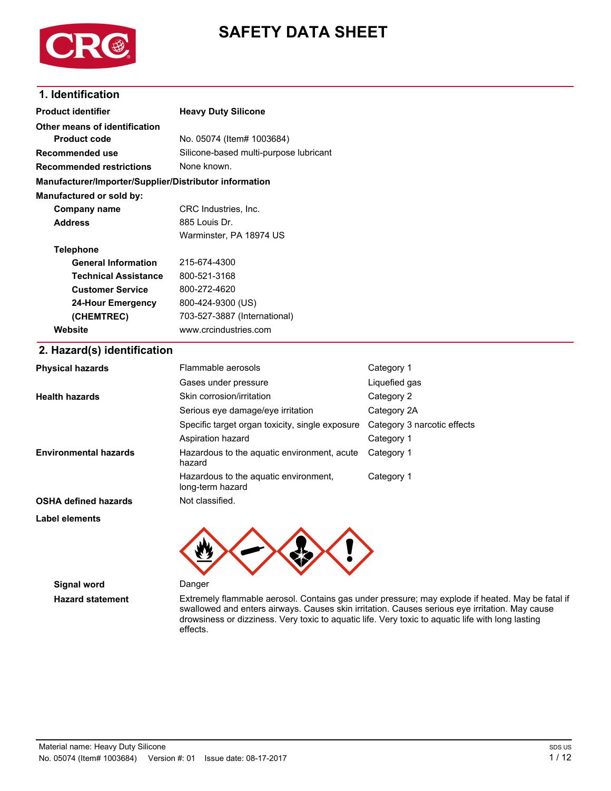

# **SAFETY DATA SHEET**

### **1. Identification**

| <b>Product identifier</b>                              | <b>Heavy Duty Silicone</b>                      |                             |  |  |
|--------------------------------------------------------|-------------------------------------------------|-----------------------------|--|--|
| Other means of identification                          |                                                 |                             |  |  |
| <b>Product code</b>                                    | No. 05074 (Item# 1003684)                       |                             |  |  |
| Recommended use                                        | Silicone-based multi-purpose lubricant          |                             |  |  |
| <b>Recommended restrictions</b>                        | None known.                                     |                             |  |  |
| Manufacturer/Importer/Supplier/Distributor information |                                                 |                             |  |  |
| Manufactured or sold by:                               |                                                 |                             |  |  |
| Company name                                           | CRC Industries, Inc.                            |                             |  |  |
| <b>Address</b>                                         | 885 Louis Dr.                                   |                             |  |  |
|                                                        | Warminster, PA 18974 US                         |                             |  |  |
| <b>Telephone</b>                                       |                                                 |                             |  |  |
| <b>General Information</b>                             | 215-674-4300                                    |                             |  |  |
| <b>Technical Assistance</b>                            | 800-521-3168                                    |                             |  |  |
| <b>Customer Service</b>                                | 800-272-4620                                    |                             |  |  |
| <b>24-Hour Emergency</b>                               | 800-424-9300 (US)                               |                             |  |  |
| (CHEMTREC)                                             | 703-527-3887 (International)                    |                             |  |  |
| Website                                                | www.crcindustries.com                           |                             |  |  |
| 2. Hazard(s) identification                            |                                                 |                             |  |  |
| <b>Physical hazards</b>                                | Flammable aerosols                              | Category 1                  |  |  |
|                                                        | Gases under pressure                            | Liquefied gas               |  |  |
| <b>Health hazards</b>                                  | Skin corrosion/irritation                       | Category 2                  |  |  |
|                                                        | Serious eye damage/eye irritation               | Category 2A                 |  |  |
|                                                        | Specific target organ toxicity, single exposure | Category 3 narcotic effects |  |  |
|                                                        | Aspiration hazard                               | Category 1                  |  |  |
| Environmental hazards                                  | Hazardous to the aquatic environment, acute     | Category 1                  |  |  |

**Environmental hazards**

**OSHA defined hazards** Not classified.

**Label elements**



Hazardous to the aquatic environment, Category 1

**Signal word** Danger

**Hazard statement** Extremely flammable aerosol. Contains gas under pressure; may explode if heated. May be fatal if swallowed and enters airways. Causes skin irritation. Causes serious eye irritation. May cause drowsiness or dizziness. Very toxic to aquatic life. Very toxic to aquatic life with long lasting effects.

hazard

long-term hazard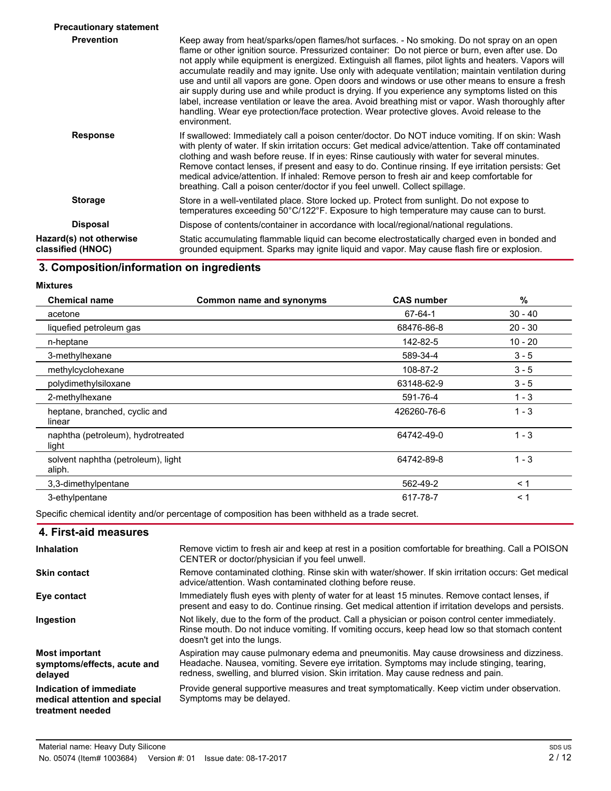| <b>Precautionary statement</b>               |                                                                                                                                                                                                                                                                                                                                                                                                                                                                                                                                                                                                                                                                                                                                                                                                                                          |
|----------------------------------------------|------------------------------------------------------------------------------------------------------------------------------------------------------------------------------------------------------------------------------------------------------------------------------------------------------------------------------------------------------------------------------------------------------------------------------------------------------------------------------------------------------------------------------------------------------------------------------------------------------------------------------------------------------------------------------------------------------------------------------------------------------------------------------------------------------------------------------------------|
| <b>Prevention</b>                            | Keep away from heat/sparks/open flames/hot surfaces. - No smoking. Do not spray on an open<br>flame or other ignition source. Pressurized container: Do not pierce or burn, even after use. Do<br>not apply while equipment is energized. Extinguish all flames, pilot lights and heaters. Vapors will<br>accumulate readily and may ignite. Use only with adequate ventilation; maintain ventilation during<br>use and until all vapors are gone. Open doors and windows or use other means to ensure a fresh<br>air supply during use and while product is drying. If you experience any symptoms listed on this<br>label, increase ventilation or leave the area. Avoid breathing mist or vapor. Wash thoroughly after<br>handling. Wear eve protection/face protection. Wear protective gloves. Avoid release to the<br>environment. |
| <b>Response</b>                              | If swallowed: Immediately call a poison center/doctor. Do NOT induce vomiting. If on skin: Wash<br>with plenty of water. If skin irritation occurs: Get medical advice/attention. Take off contaminated<br>clothing and wash before reuse. If in eyes: Rinse cautiously with water for several minutes.<br>Remove contact lenses, if present and easy to do. Continue rinsing. If eye irritation persists: Get<br>medical advice/attention. If inhaled: Remove person to fresh air and keep comfortable for<br>breathing. Call a poison center/doctor if you feel unwell. Collect spillage.                                                                                                                                                                                                                                              |
| <b>Storage</b>                               | Store in a well-ventilated place. Store locked up. Protect from sunlight. Do not expose to<br>temperatures exceeding 50°C/122°F. Exposure to high temperature may cause can to burst.                                                                                                                                                                                                                                                                                                                                                                                                                                                                                                                                                                                                                                                    |
| <b>Disposal</b>                              | Dispose of contents/container in accordance with local/regional/national regulations.                                                                                                                                                                                                                                                                                                                                                                                                                                                                                                                                                                                                                                                                                                                                                    |
| Hazard(s) not otherwise<br>classified (HNOC) | Static accumulating flammable liquid can become electrostatically charged even in bonded and<br>grounded equipment. Sparks may ignite liquid and vapor. May cause flash fire or explosion.                                                                                                                                                                                                                                                                                                                                                                                                                                                                                                                                                                                                                                               |

## **3. Composition/information on ingredients**

**Mixtures**

| <b>Chemical name</b>                         | Common name and synonyms | <b>CAS number</b> | %         |
|----------------------------------------------|--------------------------|-------------------|-----------|
| acetone                                      |                          | 67-64-1           | $30 - 40$ |
| liquefied petroleum gas                      |                          | 68476-86-8        | $20 - 30$ |
| n-heptane                                    |                          | 142-82-5          | $10 - 20$ |
| 3-methylhexane                               |                          | 589-34-4          | $3 - 5$   |
| methylcyclohexane                            |                          | 108-87-2          | $3 - 5$   |
| polydimethylsiloxane                         |                          | 63148-62-9        | $3 - 5$   |
| 2-methylhexane                               |                          | 591-76-4          | $1 - 3$   |
| heptane, branched, cyclic and<br>linear      |                          | 426260-76-6       | $1 - 3$   |
| naphtha (petroleum), hydrotreated<br>light   |                          | 64742-49-0        | $1 - 3$   |
| solvent naphtha (petroleum), light<br>aliph. |                          | 64742-89-8        | $1 - 3$   |
| 3,3-dimethylpentane                          |                          | 562-49-2          | < 1       |
| 3-ethylpentane                               |                          | 617-78-7          | < 1       |

Specific chemical identity and/or percentage of composition has been withheld as a trade secret.

### **4. First-aid measures**

| Inhalation                                                                   | Remove victim to fresh air and keep at rest in a position comfortable for breathing. Call a POISON<br>CENTER or doctor/physician if you feel unwell.                                                                                                                           |
|------------------------------------------------------------------------------|--------------------------------------------------------------------------------------------------------------------------------------------------------------------------------------------------------------------------------------------------------------------------------|
| <b>Skin contact</b>                                                          | Remove contaminated clothing. Rinse skin with water/shower. If skin irritation occurs: Get medical<br>advice/attention. Wash contaminated clothing before reuse.                                                                                                               |
| Eye contact                                                                  | Immediately flush eyes with plenty of water for at least 15 minutes. Remove contact lenses, if<br>present and easy to do. Continue rinsing. Get medical attention if irritation develops and persists.                                                                         |
| Ingestion                                                                    | Not likely, due to the form of the product. Call a physician or poison control center immediately.<br>Rinse mouth. Do not induce vomiting. If vomiting occurs, keep head low so that stomach content<br>doesn't get into the lungs.                                            |
| <b>Most important</b><br>symptoms/effects, acute and<br>delayed              | Aspiration may cause pulmonary edema and pneumonitis. May cause drowsiness and dizziness.<br>Headache. Nausea, vomiting. Severe eye irritation. Symptoms may include stinging, tearing,<br>redness, swelling, and blurred vision. Skin irritation. May cause redness and pain. |
| Indication of immediate<br>medical attention and special<br>treatment needed | Provide general supportive measures and treat symptomatically. Keep victim under observation.<br>Symptoms may be delayed.                                                                                                                                                      |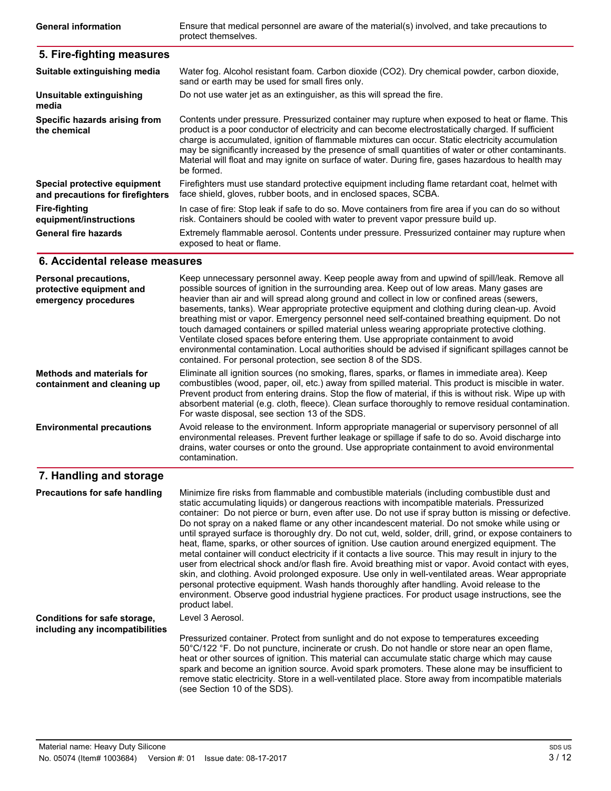Ensure that medical personnel are aware of the material(s) involved, and take precautions to protect themselves. **General information**

#### **5. Fire-fighting measures** Water fog. Alcohol resistant foam. Carbon dioxide (CO2). Dry chemical powder, carbon dioxide, sand or earth may be used for small fires only. **Suitable extinguishing media Unsuitable extinguishing** Do not use water jet as an extinguisher, as this will spread the fire. **media** Contents under pressure. Pressurized container may rupture when exposed to heat or flame. This product is a poor conductor of electricity and can become electrostatically charged. If sufficient charge is accumulated, ignition of flammable mixtures can occur. Static electricity accumulation may be significantly increased by the presence of small quantities of water or other contaminants. Material will float and may ignite on surface of water. During fire, gases hazardous to health may be formed. **Specific hazards arising from the chemical** Firefighters must use standard protective equipment including flame retardant coat, helmet with face shield, gloves, rubber boots, and in enclosed spaces, SCBA. **Special protective equipment and precautions for firefighters Fire-fighting equipment/instructions** In case of fire: Stop leak if safe to do so. Move containers from fire area if you can do so without risk. Containers should be cooled with water to prevent vapor pressure build up. Extremely flammable aerosol. Contents under pressure. Pressurized container may rupture when exposed to heat or flame. **General fire hazards**

### **6. Accidental release measures**

| <b>Personal precautions,</b><br>protective equipment and<br>emergency procedures | Keep unnecessary personnel away. Keep people away from and upwind of spill/leak. Remove all<br>possible sources of ignition in the surrounding area. Keep out of low areas. Many gases are<br>heavier than air and will spread along ground and collect in low or confined areas (sewers,<br>basements, tanks). Wear appropriate protective equipment and clothing during clean-up. Avoid<br>breathing mist or vapor. Emergency personnel need self-contained breathing equipment. Do not<br>touch damaged containers or spilled material unless wearing appropriate protective clothing.<br>Ventilate closed spaces before entering them. Use appropriate containment to avoid<br>environmental contamination. Local authorities should be advised if significant spillages cannot be<br>contained. For personal protection, see section 8 of the SDS. |
|----------------------------------------------------------------------------------|---------------------------------------------------------------------------------------------------------------------------------------------------------------------------------------------------------------------------------------------------------------------------------------------------------------------------------------------------------------------------------------------------------------------------------------------------------------------------------------------------------------------------------------------------------------------------------------------------------------------------------------------------------------------------------------------------------------------------------------------------------------------------------------------------------------------------------------------------------|
| <b>Methods and materials for</b><br>containment and cleaning up                  | Eliminate all ignition sources (no smoking, flares, sparks, or flames in immediate area). Keep<br>combustibles (wood, paper, oil, etc.) away from spilled material. This product is miscible in water.<br>Prevent product from entering drains. Stop the flow of material, if this is without risk. Wipe up with<br>absorbent material (e.g. cloth, fleece). Clean surface thoroughly to remove residual contamination.<br>For waste disposal, see section 13 of the SDS.                                                                                                                                                                                                                                                                                                                                                                               |
| <b>Environmental precautions</b>                                                 | Avoid release to the environment. Inform appropriate managerial or supervisory personnel of all<br>environmental releases. Prevent further leakage or spillage if safe to do so. Avoid discharge into<br>drains, water courses or onto the ground. Use appropriate containment to avoid environmental<br>contamination.                                                                                                                                                                                                                                                                                                                                                                                                                                                                                                                                 |
| 7. Handling and storage                                                          |                                                                                                                                                                                                                                                                                                                                                                                                                                                                                                                                                                                                                                                                                                                                                                                                                                                         |

#### Minimize fire risks from flammable and combustible materials (including combustible dust and static accumulating liquids) or dangerous reactions with incompatible materials. Pressurized container: Do not pierce or burn, even after use. Do not use if spray button is missing or defective. Do not spray on a naked flame or any other incandescent material. Do not smoke while using or until sprayed surface is thoroughly dry. Do not cut, weld, solder, drill, grind, or expose containers to heat, flame, sparks, or other sources of ignition. Use caution around energized equipment. The metal container will conduct electricity if it contacts a live source. This may result in injury to the user from electrical shock and/or flash fire. Avoid breathing mist or vapor. Avoid contact with eyes, skin, and clothing. Avoid prolonged exposure. Use only in well-ventilated areas. Wear appropriate personal protective equipment. Wash hands thoroughly after handling. Avoid release to the environment. Observe good industrial hygiene practices. For product usage instructions, see the product label. **Precautions for safe handling** Level 3 Aerosol. Pressurized container. Protect from sunlight and do not expose to temperatures exceeding 50°C/122 °F. Do not puncture, incinerate or crush. Do not handle or store near an open flame, heat or other sources of ignition. This material can accumulate static charge which may cause spark and become an ignition source. Avoid spark promoters. These alone may be insufficient to remove static electricity. Store in a well-ventilated place. Store away from incompatible materials (see Section 10 of the SDS). **Conditions for safe storage, including any incompatibilities**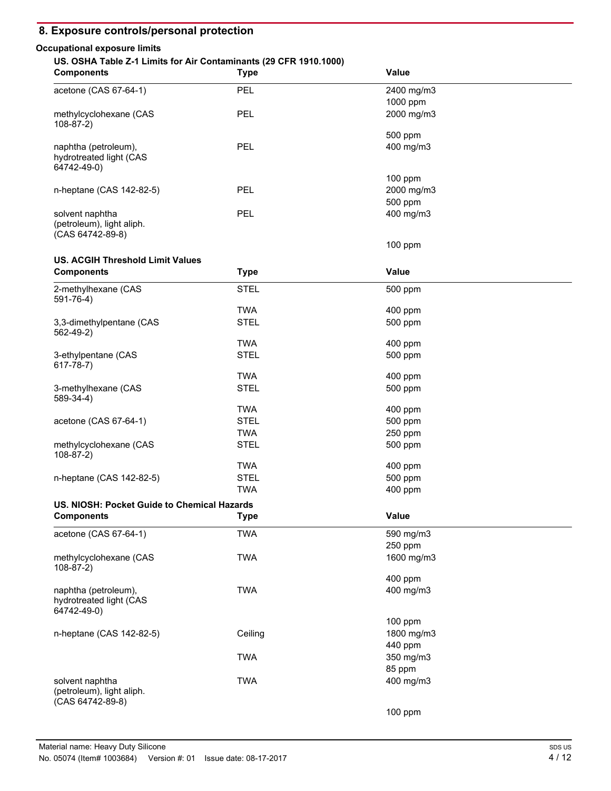## **8. Exposure controls/personal protection**

### **Occupational exposure limits**

### **US. OSHA Table Z-1 Limits for Air Contaminants (29 CFR 1910.1000)**

| <b>Components</b>                                                | <b>Type</b> | <b>Value</b> |  |
|------------------------------------------------------------------|-------------|--------------|--|
| acetone (CAS 67-64-1)                                            | PEL         | 2400 mg/m3   |  |
|                                                                  |             | 1000 ppm     |  |
| methylcyclohexane (CAS<br>$108 - 87 - 2$                         | PEL         | 2000 mg/m3   |  |
|                                                                  |             | 500 ppm      |  |
| naphtha (petroleum),<br>hydrotreated light (CAS<br>64742-49-0)   | PEL         | 400 mg/m3    |  |
|                                                                  |             | $100$ ppm    |  |
| n-heptane (CAS 142-82-5)                                         | <b>PEL</b>  | 2000 mg/m3   |  |
|                                                                  |             | 500 ppm      |  |
| solvent naphtha<br>(petroleum), light aliph.<br>(CAS 64742-89-8) | <b>PEL</b>  | 400 mg/m3    |  |
|                                                                  |             |              |  |

100 ppm

### **US. ACGIH Threshold Limit Values**

| <b>Components</b>                                              | <b>Type</b> | Value      |  |
|----------------------------------------------------------------|-------------|------------|--|
| 2-methylhexane (CAS<br>591-76-4)                               | <b>STEL</b> | 500 ppm    |  |
|                                                                | <b>TWA</b>  | 400 ppm    |  |
| 3,3-dimethylpentane (CAS<br>562-49-2)                          | <b>STEL</b> | 500 ppm    |  |
|                                                                | <b>TWA</b>  | 400 ppm    |  |
| 3-ethylpentane (CAS<br>$617 - 78 - 7)$                         | <b>STEL</b> | 500 ppm    |  |
|                                                                | <b>TWA</b>  | 400 ppm    |  |
| 3-methylhexane (CAS<br>589-34-4)                               | <b>STEL</b> | 500 ppm    |  |
|                                                                | <b>TWA</b>  | 400 ppm    |  |
| acetone (CAS 67-64-1)                                          | <b>STEL</b> | 500 ppm    |  |
|                                                                | <b>TWA</b>  | 250 ppm    |  |
| methylcyclohexane (CAS<br>$108-87-2)$                          | <b>STEL</b> | 500 ppm    |  |
|                                                                | <b>TWA</b>  | 400 ppm    |  |
| n-heptane (CAS 142-82-5)                                       | <b>STEL</b> | 500 ppm    |  |
|                                                                | <b>TWA</b>  | 400 ppm    |  |
| US. NIOSH: Pocket Guide to Chemical Hazards                    |             |            |  |
| <b>Components</b>                                              | <b>Type</b> | Value      |  |
| acetone (CAS 67-64-1)                                          | <b>TWA</b>  | 590 mg/m3  |  |
|                                                                |             | 250 ppm    |  |
| methylcyclohexane (CAS<br>$108-87-2)$                          | <b>TWA</b>  | 1600 mg/m3 |  |
|                                                                |             | 400 ppm    |  |
| naphtha (petroleum),<br>hydrotreated light (CAS<br>64742-49-0) | <b>TWA</b>  | 400 mg/m3  |  |
|                                                                |             | $100$ ppm  |  |
| n-heptane (CAS 142-82-5)                                       | Ceiling     | 1800 mg/m3 |  |
|                                                                |             | 440 ppm    |  |
|                                                                | <b>TWA</b>  | 350 mg/m3  |  |
|                                                                |             | 85 ppm     |  |
| solvent naphtha                                                | <b>TWA</b>  | 400 mg/m3  |  |
| (petroleum), light aliph.<br>(CAS 64742-89-8)                  |             |            |  |
|                                                                |             | 100 ppm    |  |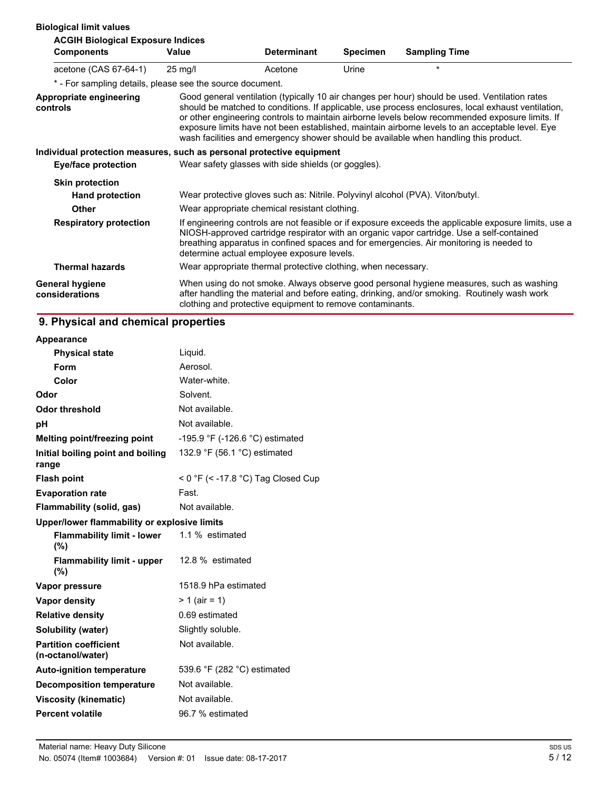### **Biological limit values**

| <b>ACGIH Biological Exposure Indices</b>                              |                                                                                                                                                                                                                                                                                                                                             |                                                               |          |                                                                                                                                                                                                                                                                                                                                                                                                                                                                                                    |
|-----------------------------------------------------------------------|---------------------------------------------------------------------------------------------------------------------------------------------------------------------------------------------------------------------------------------------------------------------------------------------------------------------------------------------|---------------------------------------------------------------|----------|----------------------------------------------------------------------------------------------------------------------------------------------------------------------------------------------------------------------------------------------------------------------------------------------------------------------------------------------------------------------------------------------------------------------------------------------------------------------------------------------------|
| <b>Components</b>                                                     | <b>Value</b>                                                                                                                                                                                                                                                                                                                                | <b>Determinant</b>                                            | Specimen | <b>Sampling Time</b>                                                                                                                                                                                                                                                                                                                                                                                                                                                                               |
| acetone (CAS 67-64-1)                                                 | $25 \text{ mg/l}$                                                                                                                                                                                                                                                                                                                           | Acetone                                                       | Urine    | $\star$                                                                                                                                                                                                                                                                                                                                                                                                                                                                                            |
| * - For sampling details, please see the source document.             |                                                                                                                                                                                                                                                                                                                                             |                                                               |          |                                                                                                                                                                                                                                                                                                                                                                                                                                                                                                    |
| Appropriate engineering<br>controls                                   |                                                                                                                                                                                                                                                                                                                                             |                                                               |          | Good general ventilation (typically 10 air changes per hour) should be used. Ventilation rates<br>should be matched to conditions. If applicable, use process enclosures, local exhaust ventilation,<br>or other engineering controls to maintain airborne levels below recommended exposure limits. If<br>exposure limits have not been established, maintain airborne levels to an acceptable level. Eye<br>wash facilities and emergency shower should be available when handling this product. |
| Individual protection measures, such as personal protective equipment |                                                                                                                                                                                                                                                                                                                                             |                                                               |          |                                                                                                                                                                                                                                                                                                                                                                                                                                                                                                    |
| Eye/face protection                                                   |                                                                                                                                                                                                                                                                                                                                             | Wear safety glasses with side shields (or goggles).           |          |                                                                                                                                                                                                                                                                                                                                                                                                                                                                                                    |
| <b>Skin protection</b>                                                |                                                                                                                                                                                                                                                                                                                                             |                                                               |          |                                                                                                                                                                                                                                                                                                                                                                                                                                                                                                    |
| <b>Hand protection</b>                                                |                                                                                                                                                                                                                                                                                                                                             |                                                               |          | Wear protective gloves such as: Nitrile. Polyvinyl alcohol (PVA). Viton/butyl.                                                                                                                                                                                                                                                                                                                                                                                                                     |
| <b>Other</b>                                                          |                                                                                                                                                                                                                                                                                                                                             | Wear appropriate chemical resistant clothing.                 |          |                                                                                                                                                                                                                                                                                                                                                                                                                                                                                                    |
| <b>Respiratory protection</b>                                         | If engineering controls are not feasible or if exposure exceeds the applicable exposure limits, use a<br>NIOSH-approved cartridge respirator with an organic vapor cartridge. Use a self-contained<br>breathing apparatus in confined spaces and for emergencies. Air monitoring is needed to<br>determine actual employee exposure levels. |                                                               |          |                                                                                                                                                                                                                                                                                                                                                                                                                                                                                                    |
| <b>Thermal hazards</b>                                                |                                                                                                                                                                                                                                                                                                                                             | Wear appropriate thermal protective clothing, when necessary. |          |                                                                                                                                                                                                                                                                                                                                                                                                                                                                                                    |
| <b>General hygiene</b><br>considerations                              |                                                                                                                                                                                                                                                                                                                                             | clothing and protective equipment to remove contaminants.     |          | When using do not smoke. Always observe good personal hygiene measures, such as washing<br>after handling the material and before eating, drinking, and/or smoking. Routinely wash work                                                                                                                                                                                                                                                                                                            |

## **9. Physical and chemical properties**

| Appearance                                        |                                                |
|---------------------------------------------------|------------------------------------------------|
| <b>Physical state</b>                             | Liquid.                                        |
| Form                                              | Aerosol                                        |
| Color                                             | Water-white.                                   |
| Odor                                              | Solvent.                                       |
| Odor threshold                                    | Not available.                                 |
| рH                                                | Not available.                                 |
| Melting point/freezing point                      | -195.9 °F (-126.6 °C) estimated                |
| Initial boiling point and boiling<br>range        | 132.9 $\degree$ F (56.1 $\degree$ C) estimated |
| <b>Flash point</b>                                | < 0 °F (< -17.8 °C) Tag Closed Cup             |
| <b>Evaporation rate</b>                           | Fast.                                          |
| Flammability (solid, gas)                         | Not available.                                 |
| Upper/lower flammability or explosive limits      |                                                |
| <b>Flammability limit - lower</b><br>(%)          | 1.1 % estimated                                |
| <b>Flammability limit - upper</b><br>(%)          | 12.8 % estimated                               |
|                                                   |                                                |
| Vapor pressure                                    | 1518.9 hPa estimated                           |
| <b>Vapor density</b>                              | $> 1$ (air = 1)                                |
| <b>Relative density</b>                           | 0.69 estimated                                 |
| <b>Solubility (water)</b>                         | Slightly soluble.                              |
| <b>Partition coefficient</b><br>(n-octanol/water) | Not available.                                 |
| <b>Auto-ignition temperature</b>                  | 539.6 °F (282 °C) estimated                    |
| <b>Decomposition temperature</b>                  | Not available.                                 |
| Viscosity (kinematic)                             | Not available.                                 |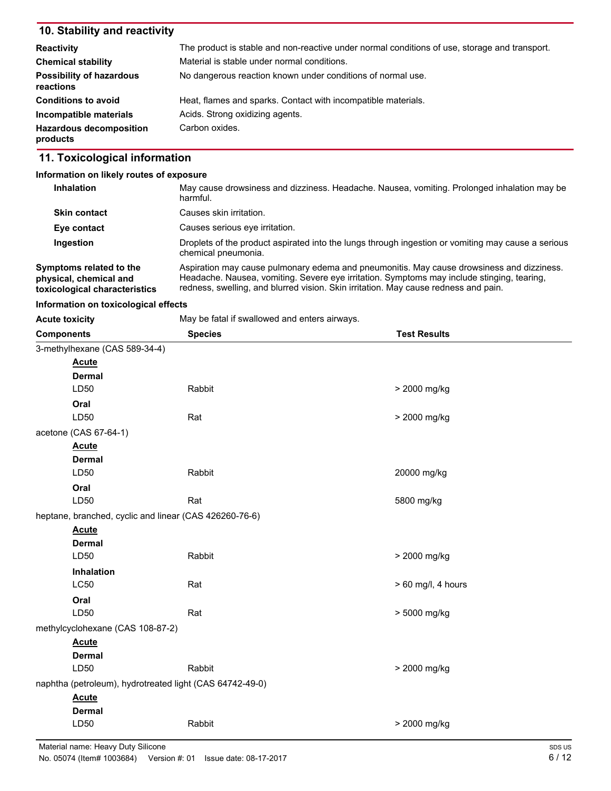## **10. Stability and reactivity**

| <b>Reactivity</b>                            | The product is stable and non-reactive under normal conditions of use, storage and transport. |
|----------------------------------------------|-----------------------------------------------------------------------------------------------|
| <b>Chemical stability</b>                    | Material is stable under normal conditions.                                                   |
| <b>Possibility of hazardous</b><br>reactions | No dangerous reaction known under conditions of normal use.                                   |
| <b>Conditions to avoid</b>                   | Heat, flames and sparks. Contact with incompatible materials.                                 |
| Incompatible materials                       | Acids. Strong oxidizing agents.                                                               |
| <b>Hazardous decomposition</b><br>products   | Carbon oxides.                                                                                |

## **11. Toxicological information**

### **Information on likely routes of exposure**

| <b>Inhalation</b>                                                                  | May cause drowsiness and dizziness. Headache. Nausea, vomiting. Prolonged inhalation may be<br>harmful.                                                                                                                                                                        |
|------------------------------------------------------------------------------------|--------------------------------------------------------------------------------------------------------------------------------------------------------------------------------------------------------------------------------------------------------------------------------|
| <b>Skin contact</b>                                                                | Causes skin irritation.                                                                                                                                                                                                                                                        |
| Eye contact                                                                        | Causes serious eye irritation.                                                                                                                                                                                                                                                 |
| Ingestion                                                                          | Droplets of the product aspirated into the lungs through ingestion or vomiting may cause a serious<br>chemical pneumonia.                                                                                                                                                      |
| Symptoms related to the<br>physical, chemical and<br>toxicological characteristics | Aspiration may cause pulmonary edema and pneumonitis. May cause drowsiness and dizziness.<br>Headache. Nausea, vomiting. Severe eye irritation. Symptoms may include stinging, tearing,<br>redness, swelling, and blurred vision. Skin irritation. May cause redness and pain. |

### **Information on toxicological effects**

| May be fatal if swallowed and enters airways.<br><b>Acute toxicity</b> |                                                          |                      |
|------------------------------------------------------------------------|----------------------------------------------------------|----------------------|
| <b>Components</b>                                                      | <b>Species</b>                                           | <b>Test Results</b>  |
| 3-methylhexane (CAS 589-34-4)                                          |                                                          |                      |
| <b>Acute</b>                                                           |                                                          |                      |
| <b>Dermal</b>                                                          |                                                          |                      |
| LD50                                                                   | Rabbit                                                   | > 2000 mg/kg         |
| Oral                                                                   |                                                          |                      |
| LD50                                                                   | Rat                                                      | > 2000 mg/kg         |
| acetone (CAS 67-64-1)                                                  |                                                          |                      |
| <b>Acute</b>                                                           |                                                          |                      |
| <b>Dermal</b>                                                          |                                                          |                      |
| LD50                                                                   | Rabbit                                                   | 20000 mg/kg          |
| Oral                                                                   |                                                          |                      |
| LD50                                                                   | Rat                                                      | 5800 mg/kg           |
|                                                                        | heptane, branched, cyclic and linear (CAS 426260-76-6)   |                      |
| <b>Acute</b>                                                           |                                                          |                      |
| <b>Dermal</b>                                                          |                                                          |                      |
| LD50                                                                   | Rabbit                                                   | > 2000 mg/kg         |
| Inhalation                                                             |                                                          |                      |
| <b>LC50</b>                                                            | Rat                                                      | $> 60$ mg/l, 4 hours |
| Oral                                                                   |                                                          |                      |
| LD50                                                                   | Rat                                                      | > 5000 mg/kg         |
| methylcyclohexane (CAS 108-87-2)                                       |                                                          |                      |
| <b>Acute</b>                                                           |                                                          |                      |
| <b>Dermal</b>                                                          |                                                          |                      |
| LD50                                                                   | Rabbit                                                   | > 2000 mg/kg         |
|                                                                        | naphtha (petroleum), hydrotreated light (CAS 64742-49-0) |                      |
| <b>Acute</b>                                                           |                                                          |                      |
| <b>Dermal</b>                                                          |                                                          |                      |
| LD50                                                                   | Rabbit                                                   | > 2000 mg/kg         |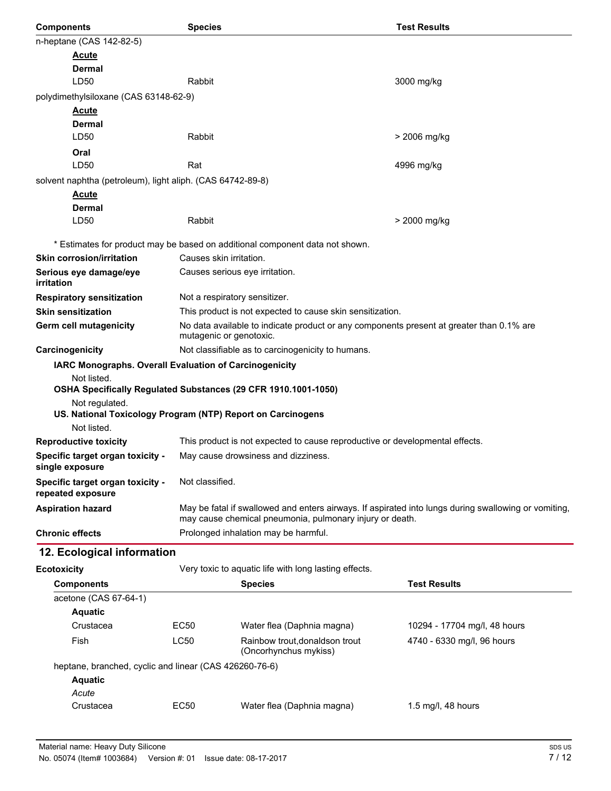| <b>Components</b>                                                             | <b>Species</b>                                                                                                                                        |                                                                              | <b>Test Results</b>                                                                                  |  |
|-------------------------------------------------------------------------------|-------------------------------------------------------------------------------------------------------------------------------------------------------|------------------------------------------------------------------------------|------------------------------------------------------------------------------------------------------|--|
| n-heptane (CAS 142-82-5)                                                      |                                                                                                                                                       |                                                                              |                                                                                                      |  |
| <b>Acute</b>                                                                  |                                                                                                                                                       |                                                                              |                                                                                                      |  |
| Dermal                                                                        |                                                                                                                                                       |                                                                              |                                                                                                      |  |
| LD50                                                                          | Rabbit                                                                                                                                                |                                                                              | 3000 mg/kg                                                                                           |  |
| polydimethylsiloxane (CAS 63148-62-9)                                         |                                                                                                                                                       |                                                                              |                                                                                                      |  |
| <b>Acute</b>                                                                  |                                                                                                                                                       |                                                                              |                                                                                                      |  |
| <b>Dermal</b><br>LD <sub>50</sub>                                             | Rabbit                                                                                                                                                |                                                                              | > 2006 mg/kg                                                                                         |  |
|                                                                               |                                                                                                                                                       |                                                                              |                                                                                                      |  |
| Oral<br>LD50                                                                  | Rat                                                                                                                                                   |                                                                              | 4996 mg/kg                                                                                           |  |
|                                                                               |                                                                                                                                                       |                                                                              |                                                                                                      |  |
| solvent naphtha (petroleum), light aliph. (CAS 64742-89-8)<br><b>Acute</b>    |                                                                                                                                                       |                                                                              |                                                                                                      |  |
| <b>Dermal</b>                                                                 |                                                                                                                                                       |                                                                              |                                                                                                      |  |
| LD50                                                                          | Rabbit                                                                                                                                                |                                                                              | > 2000 mg/kg                                                                                         |  |
|                                                                               |                                                                                                                                                       |                                                                              |                                                                                                      |  |
|                                                                               |                                                                                                                                                       | * Estimates for product may be based on additional component data not shown. |                                                                                                      |  |
| <b>Skin corrosion/irritation</b>                                              | Causes skin irritation.                                                                                                                               |                                                                              |                                                                                                      |  |
| Serious eye damage/eye<br>irritation                                          |                                                                                                                                                       | Causes serious eye irritation.                                               |                                                                                                      |  |
| <b>Respiratory sensitization</b>                                              |                                                                                                                                                       |                                                                              |                                                                                                      |  |
| <b>Skin sensitization</b>                                                     |                                                                                                                                                       | Not a respiratory sensitizer.                                                |                                                                                                      |  |
| Germ cell mutagenicity                                                        | This product is not expected to cause skin sensitization.<br>No data available to indicate product or any components present at greater than 0.1% are |                                                                              |                                                                                                      |  |
|                                                                               | mutagenic or genotoxic.                                                                                                                               |                                                                              |                                                                                                      |  |
| Carcinogenicity                                                               | Not classifiable as to carcinogenicity to humans.                                                                                                     |                                                                              |                                                                                                      |  |
| IARC Monographs. Overall Evaluation of Carcinogenicity                        |                                                                                                                                                       |                                                                              |                                                                                                      |  |
| Not listed.<br>OSHA Specifically Regulated Substances (29 CFR 1910.1001-1050) |                                                                                                                                                       |                                                                              |                                                                                                      |  |
| Not regulated.                                                                |                                                                                                                                                       |                                                                              |                                                                                                      |  |
| US. National Toxicology Program (NTP) Report on Carcinogens                   |                                                                                                                                                       |                                                                              |                                                                                                      |  |
| Not listed.                                                                   |                                                                                                                                                       |                                                                              |                                                                                                      |  |
| <b>Reproductive toxicity</b>                                                  | This product is not expected to cause reproductive or developmental effects.                                                                          |                                                                              |                                                                                                      |  |
| Specific target organ toxicity -<br>single exposure                           | May cause drowsiness and dizziness.                                                                                                                   |                                                                              |                                                                                                      |  |
| Specific target organ toxicity -                                              | Not classified.                                                                                                                                       |                                                                              |                                                                                                      |  |
| repeated exposure                                                             |                                                                                                                                                       |                                                                              |                                                                                                      |  |
| <b>Aspiration hazard</b>                                                      |                                                                                                                                                       |                                                                              | May be fatal if swallowed and enters airways. If aspirated into lungs during swallowing or vomiting, |  |
| <b>Chronic effects</b>                                                        | may cause chemical pneumonia, pulmonary injury or death.<br>Prolonged inhalation may be harmful.                                                      |                                                                              |                                                                                                      |  |
| 12. Ecological information                                                    |                                                                                                                                                       |                                                                              |                                                                                                      |  |
|                                                                               |                                                                                                                                                       |                                                                              |                                                                                                      |  |
| <b>Ecotoxicity</b>                                                            |                                                                                                                                                       | Very toxic to aquatic life with long lasting effects.                        |                                                                                                      |  |
| <b>Components</b>                                                             |                                                                                                                                                       | <b>Species</b>                                                               | <b>Test Results</b>                                                                                  |  |
| acetone (CAS 67-64-1)<br><b>Aquatic</b>                                       |                                                                                                                                                       |                                                                              |                                                                                                      |  |
| Crustacea                                                                     | EC50                                                                                                                                                  | Water flea (Daphnia magna)                                                   | 10294 - 17704 mg/l, 48 hours                                                                         |  |
| Fish                                                                          | <b>LC50</b>                                                                                                                                           | Rainbow trout, donaldson trout                                               | 4740 - 6330 mg/l, 96 hours                                                                           |  |
|                                                                               |                                                                                                                                                       | (Oncorhynchus mykiss)                                                        |                                                                                                      |  |
| heptane, branched, cyclic and linear (CAS 426260-76-6)                        |                                                                                                                                                       |                                                                              |                                                                                                      |  |
| <b>Aquatic</b>                                                                |                                                                                                                                                       |                                                                              |                                                                                                      |  |

**Aquatic** *Acute*

Crustacea EC50 Water flea (Daphnia magna) 1.5 mg/l, 48 hours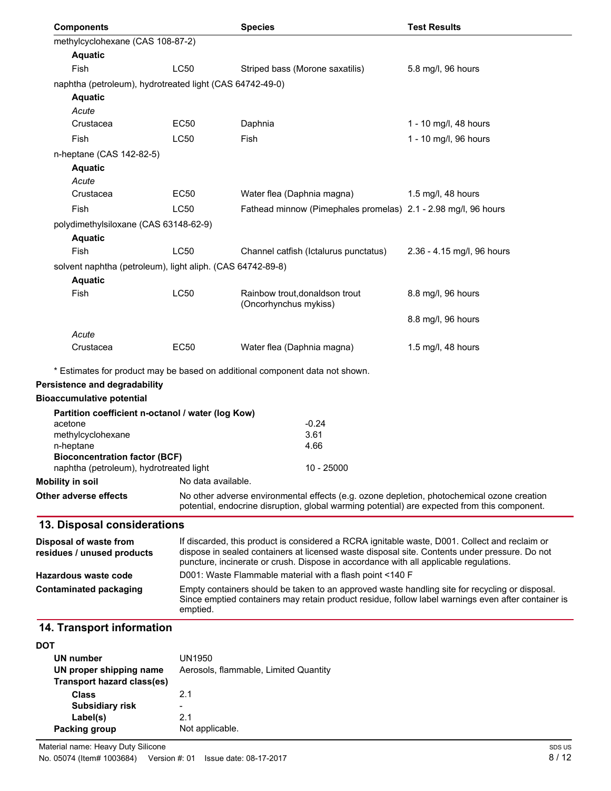| <b>Components</b>                                          |                    | <b>Species</b>                                                                                                                                                                                       | <b>Test Results</b>        |
|------------------------------------------------------------|--------------------|------------------------------------------------------------------------------------------------------------------------------------------------------------------------------------------------------|----------------------------|
| methylcyclohexane (CAS 108-87-2)                           |                    |                                                                                                                                                                                                      |                            |
| <b>Aquatic</b>                                             |                    |                                                                                                                                                                                                      |                            |
| Fish                                                       | <b>LC50</b>        | Striped bass (Morone saxatilis)                                                                                                                                                                      | 5.8 mg/l, 96 hours         |
| naphtha (petroleum), hydrotreated light (CAS 64742-49-0)   |                    |                                                                                                                                                                                                      |                            |
| <b>Aquatic</b>                                             |                    |                                                                                                                                                                                                      |                            |
| Acute                                                      |                    |                                                                                                                                                                                                      |                            |
| Crustacea                                                  | EC50               | Daphnia                                                                                                                                                                                              | 1 - 10 mg/l, 48 hours      |
| Fish                                                       | LC50               | Fish                                                                                                                                                                                                 | 1 - 10 mg/l, 96 hours      |
| n-heptane (CAS 142-82-5)                                   |                    |                                                                                                                                                                                                      |                            |
| <b>Aquatic</b>                                             |                    |                                                                                                                                                                                                      |                            |
| Acute                                                      |                    |                                                                                                                                                                                                      |                            |
| Crustacea                                                  | EC50               | Water flea (Daphnia magna)                                                                                                                                                                           | 1.5 mg/l, 48 hours         |
| Fish                                                       | LC50               | Fathead minnow (Pimephales promelas) 2.1 - 2.98 mg/l, 96 hours                                                                                                                                       |                            |
| polydimethylsiloxane (CAS 63148-62-9)                      |                    |                                                                                                                                                                                                      |                            |
| <b>Aquatic</b>                                             |                    |                                                                                                                                                                                                      |                            |
| Fish                                                       | <b>LC50</b>        | Channel catfish (Ictalurus punctatus)                                                                                                                                                                | 2.36 - 4.15 mg/l, 96 hours |
| solvent naphtha (petroleum), light aliph. (CAS 64742-89-8) |                    |                                                                                                                                                                                                      |                            |
| <b>Aquatic</b>                                             |                    |                                                                                                                                                                                                      |                            |
| Fish                                                       | LC50               | Rainbow trout, donaldson trout<br>(Oncorhynchus mykiss)                                                                                                                                              | 8.8 mg/l, 96 hours         |
|                                                            |                    |                                                                                                                                                                                                      | 8.8 mg/l, 96 hours         |
| Acute<br>Crustacea                                         | EC50               | Water flea (Daphnia magna)                                                                                                                                                                           | 1.5 mg/l, 48 hours         |
|                                                            |                    |                                                                                                                                                                                                      |                            |
|                                                            |                    | * Estimates for product may be based on additional component data not shown.                                                                                                                         |                            |
| <b>Persistence and degradability</b>                       |                    |                                                                                                                                                                                                      |                            |
| <b>Bioaccumulative potential</b>                           |                    |                                                                                                                                                                                                      |                            |
| Partition coefficient n-octanol / water (log Kow)          |                    |                                                                                                                                                                                                      |                            |
| acetone                                                    |                    | $-0.24$                                                                                                                                                                                              |                            |
| methylcyclohexane                                          |                    | 3.61<br>4.66                                                                                                                                                                                         |                            |
| n-heptane<br><b>Bioconcentration factor (BCF)</b>          |                    |                                                                                                                                                                                                      |                            |
| naphtha (petroleum), hydrotreated light                    |                    | 10 - 25000                                                                                                                                                                                           |                            |
| <b>Mobility in soil</b>                                    | No data available. |                                                                                                                                                                                                      |                            |
| Other adverse effects                                      |                    | No other adverse environmental effects (e.g. ozone depletion, photochemical ozone creation<br>potential, endocrine disruption, global warming potential) are expected from this component.           |                            |
| 13. Disposal considerations                                |                    |                                                                                                                                                                                                      |                            |
| Disposal of waste from                                     |                    | If discarded, this product is considered a RCRA ignitable waste, D001. Collect and reclaim or                                                                                                        |                            |
| residues / unused products                                 |                    | dispose in sealed containers at licensed waste disposal site. Contents under pressure. Do not<br>puncture, incinerate or crush. Dispose in accordance with all applicable regulations.               |                            |
| Hazardous waste code                                       |                    | D001: Waste Flammable material with a flash point <140 F                                                                                                                                             |                            |
| <b>Contaminated packaging</b>                              | emptied.           | Empty containers should be taken to an approved waste handling site for recycling or disposal.<br>Since emptied containers may retain product residue, follow label warnings even after container is |                            |
| 14. Transport information                                  |                    |                                                                                                                                                                                                      |                            |
| <b>DOT</b>                                                 |                    |                                                                                                                                                                                                      |                            |
| UN number                                                  | UN1950             |                                                                                                                                                                                                      |                            |
| UN proper shipping name                                    |                    | Aerosols, flammable, Limited Quantity                                                                                                                                                                |                            |

| UN proper shipping name<br>Transport hazard class(es) | Aerosols, flammable, Limited Quan |
|-------------------------------------------------------|-----------------------------------|
| Class                                                 | 21                                |
| <b>Subsidiary risk</b>                                | -                                 |
| Label(s)                                              | 21                                |
| Packing group                                         | Not applicable.                   |
|                                                       |                                   |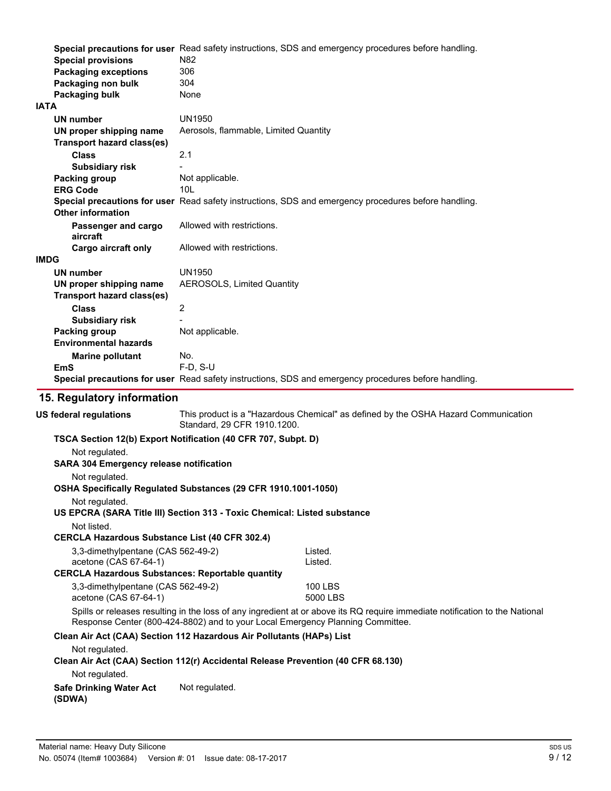| <b>Special provisions</b><br><b>Packaging exceptions</b><br>Packaging non bulk<br>Packaging bulk | Special precautions for user Read safety instructions, SDS and emergency procedures before handling.<br>N82<br>306<br>304<br>None |
|--------------------------------------------------------------------------------------------------|-----------------------------------------------------------------------------------------------------------------------------------|
| <b>IATA</b>                                                                                      |                                                                                                                                   |
| UN number                                                                                        | <b>UN1950</b>                                                                                                                     |
| UN proper shipping name                                                                          | Aerosols, flammable, Limited Quantity                                                                                             |
| <b>Transport hazard class(es)</b>                                                                |                                                                                                                                   |
| <b>Class</b>                                                                                     | 2.1                                                                                                                               |
| <b>Subsidiary risk</b>                                                                           |                                                                                                                                   |
| <b>Packing group</b>                                                                             | Not applicable.                                                                                                                   |
| <b>ERG Code</b>                                                                                  | 10I                                                                                                                               |
|                                                                                                  | Special precautions for user Read safety instructions, SDS and emergency procedures before handling.                              |
| <b>Other information</b>                                                                         |                                                                                                                                   |
| Passenger and cargo<br>aircraft                                                                  | Allowed with restrictions.                                                                                                        |
| <b>Cargo aircraft only</b>                                                                       | Allowed with restrictions.                                                                                                        |
| <b>IMDG</b>                                                                                      |                                                                                                                                   |
| UN number                                                                                        | <b>UN1950</b>                                                                                                                     |
| UN proper shipping name                                                                          | AEROSOLS, Limited Quantity                                                                                                        |
| <b>Transport hazard class(es)</b>                                                                |                                                                                                                                   |
| <b>Class</b>                                                                                     | 2                                                                                                                                 |
| <b>Subsidiary risk</b>                                                                           |                                                                                                                                   |
| <b>Packing group</b>                                                                             | Not applicable.                                                                                                                   |
| <b>Environmental hazards</b>                                                                     |                                                                                                                                   |
| <b>Marine pollutant</b>                                                                          | No.                                                                                                                               |
| <b>EmS</b>                                                                                       | F-D, S-U                                                                                                                          |
|                                                                                                  | Special precautions for user Read safety instructions, SDS and emergency procedures before handling.                              |
|                                                                                                  |                                                                                                                                   |
| 15. Regulatory information                                                                       |                                                                                                                                   |
| <b>US federal regulations</b>                                                                    | This product is a "Hazardous Chemical" as defined by the OSHA Hazard Communication<br>Standard, 29 CFR 1910.1200.                 |
|                                                                                                  | TSCA Section 12(b) Export Notification (40 CFR 707, Subpt. D)                                                                     |
| Not regulated.                                                                                   |                                                                                                                                   |
| <b>SARA 304 Emergency release notification</b>                                                   |                                                                                                                                   |
|                                                                                                  |                                                                                                                                   |
| Not regulated.                                                                                   |                                                                                                                                   |
|                                                                                                  | OSHA Specifically Regulated Substances (29 CFR 1910.1001-1050)                                                                    |

Not regulated. **US EPCRA (SARA Title III) Section 313 - Toxic Chemical: Listed substance**

### Not listed.

### **CERCLA Hazardous Substance List (40 CFR 302.4)**

| 3.3-dimethylpentane (CAS 562-49-2)<br>acetone (CAS 67-64-1) | Listed.<br>Listed. |  |
|-------------------------------------------------------------|--------------------|--|
| CERCLA Hazardous Substances: Reportable quantity            |                    |  |
| 3.3-dimethylpentane (CAS 562-49-2)                          | 100 LBS            |  |
| acetone (CAS 67-64-1)                                       | 5000 LBS           |  |

Spills or releases resulting in the loss of any ingredient at or above its RQ require immediate notification to the National Response Center (800-424-8802) and to your Local Emergency Planning Committee.

### **Clean Air Act (CAA) Section 112 Hazardous Air Pollutants (HAPs) List**

Not regulated.

### **Clean Air Act (CAA) Section 112(r) Accidental Release Prevention (40 CFR 68.130)**

Not regulated.

**Safe Drinking Water Act** Not regulated.

**(SDWA)**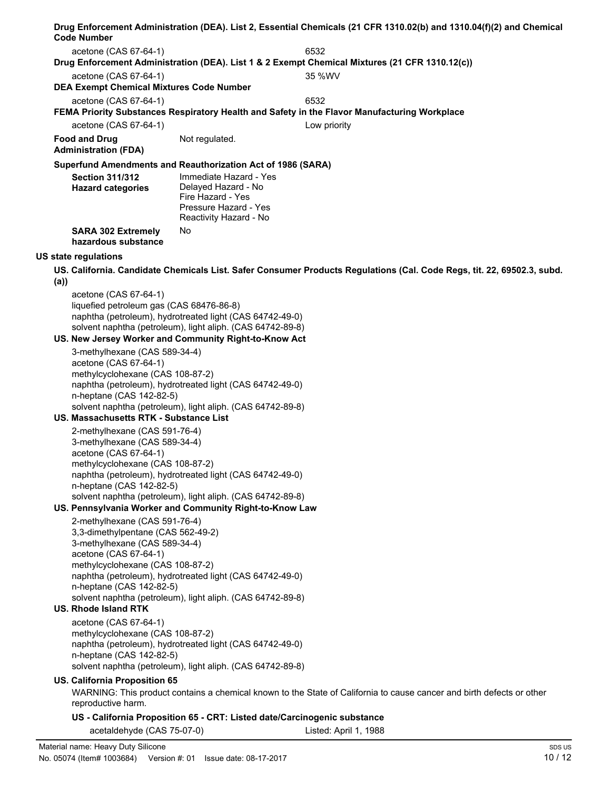|     | <b>Code Number</b>                                                  |                                                                                                                        | Drug Enforcement Administration (DEA). List 2, Essential Chemicals (21 CFR 1310.02(b) and 1310.04(f)(2) and Chemical   |
|-----|---------------------------------------------------------------------|------------------------------------------------------------------------------------------------------------------------|------------------------------------------------------------------------------------------------------------------------|
|     | acetone (CAS 67-64-1)                                               |                                                                                                                        | 6532                                                                                                                   |
|     |                                                                     |                                                                                                                        | Drug Enforcement Administration (DEA). List 1 & 2 Exempt Chemical Mixtures (21 CFR 1310.12(c))                         |
|     | acetone (CAS 67-64-1)                                               |                                                                                                                        | 35 %WV                                                                                                                 |
|     | <b>DEA Exempt Chemical Mixtures Code Number</b>                     |                                                                                                                        |                                                                                                                        |
|     | acetone (CAS 67-64-1)                                               |                                                                                                                        | 6532<br>FEMA Priority Substances Respiratory Health and Safety in the Flavor Manufacturing Workplace                   |
|     | acetone (CAS 67-64-1)                                               |                                                                                                                        | Low priority                                                                                                           |
|     | <b>Food and Drug</b>                                                | Not regulated.                                                                                                         |                                                                                                                        |
|     | <b>Administration (FDA)</b>                                         |                                                                                                                        |                                                                                                                        |
|     |                                                                     | Superfund Amendments and Reauthorization Act of 1986 (SARA)                                                            |                                                                                                                        |
|     | <b>Section 311/312</b><br><b>Hazard categories</b>                  | Immediate Hazard - Yes<br>Delayed Hazard - No<br>Fire Hazard - Yes<br>Pressure Hazard - Yes                            |                                                                                                                        |
|     |                                                                     | Reactivity Hazard - No                                                                                                 |                                                                                                                        |
|     | <b>SARA 302 Extremely</b><br>hazardous substance                    | No                                                                                                                     |                                                                                                                        |
|     | <b>US state regulations</b>                                         |                                                                                                                        |                                                                                                                        |
| (a) |                                                                     |                                                                                                                        | US. California. Candidate Chemicals List. Safer Consumer Products Regulations (Cal. Code Regs, tit. 22, 69502.3, subd. |
|     | acetone (CAS 67-64-1)                                               |                                                                                                                        |                                                                                                                        |
|     | liquefied petroleum gas (CAS 68476-86-8)                            |                                                                                                                        |                                                                                                                        |
|     |                                                                     | naphtha (petroleum), hydrotreated light (CAS 64742-49-0)<br>solvent naphtha (petroleum), light aliph. (CAS 64742-89-8) |                                                                                                                        |
|     |                                                                     | US. New Jersey Worker and Community Right-to-Know Act                                                                  |                                                                                                                        |
|     | 3-methylhexane (CAS 589-34-4)                                       |                                                                                                                        |                                                                                                                        |
|     | acetone (CAS 67-64-1)                                               |                                                                                                                        |                                                                                                                        |
|     | methylcyclohexane (CAS 108-87-2)                                    |                                                                                                                        |                                                                                                                        |
|     | n-heptane (CAS 142-82-5)                                            | naphtha (petroleum), hydrotreated light (CAS 64742-49-0)                                                               |                                                                                                                        |
|     |                                                                     | solvent naphtha (petroleum), light aliph. (CAS 64742-89-8)                                                             |                                                                                                                        |
|     | US. Massachusetts RTK - Substance List                              |                                                                                                                        |                                                                                                                        |
|     | 2-methylhexane (CAS 591-76-4)                                       |                                                                                                                        |                                                                                                                        |
|     | 3-methylhexane (CAS 589-34-4)                                       |                                                                                                                        |                                                                                                                        |
|     | acetone (CAS 67-64-1)<br>methylcyclohexane (CAS 108-87-2)           |                                                                                                                        |                                                                                                                        |
|     |                                                                     | naphtha (petroleum), hydrotreated light (CAS 64742-49-0)                                                               |                                                                                                                        |
|     | n-heptane (CAS 142-82-5)                                            |                                                                                                                        |                                                                                                                        |
|     |                                                                     | solvent naphtha (petroleum), light aliph. (CAS 64742-89-8)                                                             |                                                                                                                        |
|     |                                                                     | US. Pennsylvania Worker and Community Right-to-Know Law                                                                |                                                                                                                        |
|     | 2-methylhexane (CAS 591-76-4)<br>3,3-dimethylpentane (CAS 562-49-2) |                                                                                                                        |                                                                                                                        |
|     | 3-methylhexane (CAS 589-34-4)                                       |                                                                                                                        |                                                                                                                        |
|     | acetone (CAS 67-64-1)                                               |                                                                                                                        |                                                                                                                        |
|     | methylcyclohexane (CAS 108-87-2)                                    | naphtha (petroleum), hydrotreated light (CAS 64742-49-0)                                                               |                                                                                                                        |
|     | n-heptane (CAS 142-82-5)                                            |                                                                                                                        |                                                                                                                        |
|     |                                                                     | solvent naphtha (petroleum), light aliph. (CAS 64742-89-8)                                                             |                                                                                                                        |
|     | <b>US. Rhode Island RTK</b>                                         |                                                                                                                        |                                                                                                                        |
|     | acetone (CAS 67-64-1)                                               |                                                                                                                        |                                                                                                                        |
|     | methylcyclohexane (CAS 108-87-2)                                    | naphtha (petroleum), hydrotreated light (CAS 64742-49-0)                                                               |                                                                                                                        |
|     | n-heptane (CAS 142-82-5)                                            |                                                                                                                        |                                                                                                                        |
|     |                                                                     | solvent naphtha (petroleum), light aliph. (CAS 64742-89-8)                                                             |                                                                                                                        |
|     | US. California Proposition 65                                       |                                                                                                                        |                                                                                                                        |
|     | reproductive harm.                                                  |                                                                                                                        | WARNING: This product contains a chemical known to the State of California to cause cancer and birth defects or other  |
|     |                                                                     | US - California Proposition 65 - CRT: Listed date/Carcinogenic substance                                               |                                                                                                                        |
|     | acetaldehyde (CAS 75-07-0)                                          |                                                                                                                        | Listed: April 1, 1988                                                                                                  |

 $\overline{\phantom{0}}$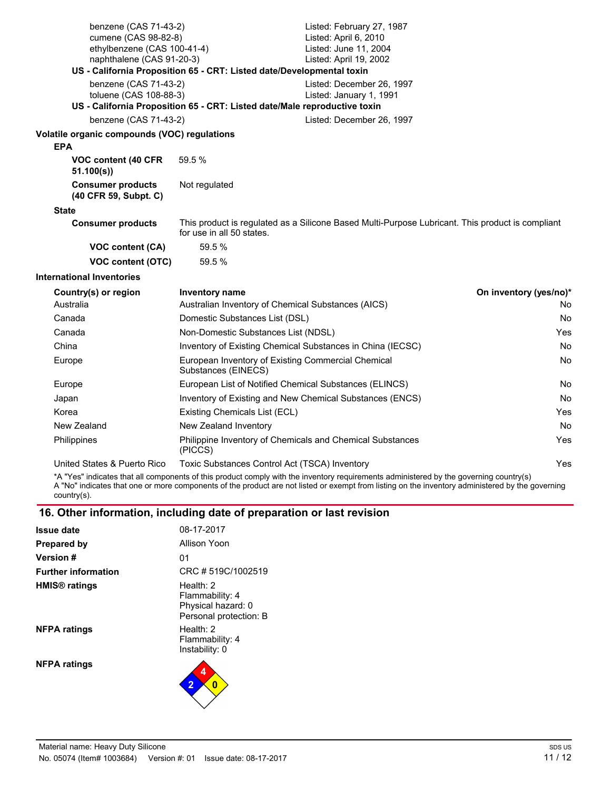| benzene (CAS 71-43-2)<br>cumene (CAS 98-82-8)              | Listed: February 27, 1987<br>Listed: April 6, 2010                                                                                                                                      |                        |
|------------------------------------------------------------|-----------------------------------------------------------------------------------------------------------------------------------------------------------------------------------------|------------------------|
| ethylbenzene (CAS 100-41-4)                                | Listed: June 11, 2004                                                                                                                                                                   |                        |
| naphthalene (CAS 91-20-3)                                  | Listed: April 19, 2002<br>US - California Proposition 65 - CRT: Listed date/Developmental toxin                                                                                         |                        |
| benzene (CAS 71-43-2)                                      | Listed: December 26, 1997                                                                                                                                                               |                        |
| toluene (CAS 108-88-3)                                     | Listed: January 1, 1991                                                                                                                                                                 |                        |
|                                                            | US - California Proposition 65 - CRT: Listed date/Male reproductive toxin                                                                                                               |                        |
| benzene (CAS 71-43-2)                                      | Listed: December 26, 1997                                                                                                                                                               |                        |
| Volatile organic compounds (VOC) regulations<br><b>EPA</b> |                                                                                                                                                                                         |                        |
| VOC content (40 CFR<br>51.100(s)                           | 59.5 %                                                                                                                                                                                  |                        |
| <b>Consumer products</b><br>(40 CFR 59, Subpt. C)          | Not regulated                                                                                                                                                                           |                        |
| <b>State</b>                                               |                                                                                                                                                                                         |                        |
| <b>Consumer products</b>                                   | This product is regulated as a Silicone Based Multi-Purpose Lubricant. This product is compliant<br>for use in all 50 states.                                                           |                        |
| VOC content (CA)                                           | 59.5 %                                                                                                                                                                                  |                        |
| <b>VOC content (OTC)</b>                                   | 59.5 %                                                                                                                                                                                  |                        |
| <b>International Inventories</b>                           |                                                                                                                                                                                         |                        |
| Country(s) or region                                       | Inventory name                                                                                                                                                                          | On inventory (yes/no)* |
| Australia                                                  | Australian Inventory of Chemical Substances (AICS)                                                                                                                                      | No.                    |
| Canada                                                     | Domestic Substances List (DSL)                                                                                                                                                          | No.                    |
| Canada                                                     | Non-Domestic Substances List (NDSL)                                                                                                                                                     | Yes.                   |
| China                                                      | Inventory of Existing Chemical Substances in China (IECSC)<br>No                                                                                                                        |                        |
| Europe                                                     | European Inventory of Existing Commercial Chemical<br>Substances (EINECS)                                                                                                               | No.                    |
| Europe                                                     | European List of Notified Chemical Substances (ELINCS)<br>No.                                                                                                                           |                        |
| Japan                                                      | Inventory of Existing and New Chemical Substances (ENCS)<br>No.                                                                                                                         |                        |
| Korea                                                      | Existing Chemicals List (ECL)                                                                                                                                                           | Yes                    |
| New Zealand                                                | New Zealand Inventory                                                                                                                                                                   | No.                    |
| Philippines                                                | Philippine Inventory of Chemicals and Chemical Substances<br>(PICCS)                                                                                                                    | <b>Yes</b>             |
| United States & Puerto Rico                                | Toxic Substances Control Act (TSCA) Inventory<br>*A "Yes" indicates that all components of this product comply with the inventory requirements administered by the governing country(s) | Yes                    |

A "No" indicates that one or more components of the product are not listed or exempt from listing on the inventory administered by the governing country(s).

## **16. Other information, including date of preparation or last revision**

| Issue date                 | 08-17-2017                                                                     |
|----------------------------|--------------------------------------------------------------------------------|
| Prepared by                | Allison Yoon                                                                   |
| <b>Version</b> #           | 01                                                                             |
| <b>Further information</b> | CRC #519C/1002519                                                              |
| HMIS <sup>®</sup> ratings  | Health: $2$<br>Flammability: 4<br>Physical hazard: 0<br>Personal protection: B |
| <b>NFPA ratings</b>        | Health: $2$<br>Flammability: 4<br>Instability: 0                               |
| <b>NFPA ratings</b>        | 4<br>$\overline{2}$<br>0                                                       |